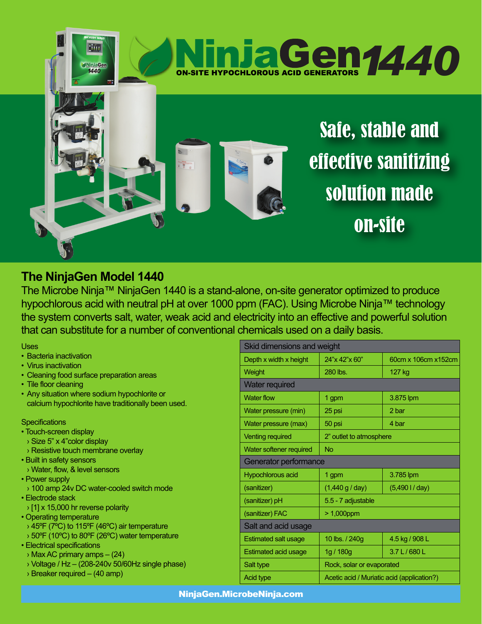

## **The NinjaGen Model 1440**

The Microbe Ninja™ NinjaGen 1440 is a stand-alone, on-site generator optimized to produce hypochlorous acid with neutral pH at over 1000 ppm (FAC). Using Microbe Ninja™ technology the system converts salt, water, weak acid and electricity into an effective and powerful solution that can substitute for a number of conventional chemicals used on a daily basis.

Uses

- Bacteria inactivation
- Virus inactivation
- Cleaning food surface preparation areas
- Tile floor cleaning
- Any situation where sodium hypochlorite or calcium hypochlorite have traditionally been used.

## **Specifications**

- Touch-screen display
- › Size 5" x 4"color display
- › Resistive touch membrane overlay
- Built in safety sensors
- › Water, flow, & level sensors
- Power supply
- › 100 amp 24v DC water-cooled switch mode
- Electrode stack
- › [1] x 15,000 hr reverse polarity
- Operating temperature
- › 45ºF (7ºC) to 115ºF (46ºC) air temperature
- › 50ºF (10ºC) to 80ºF (26ºC) water temperature
- Electrical specifications
- › Max AC primary amps (24)
- $\rightarrow$  Voltage / Hz (208-240v 50/60Hz single phase)
- › Breaker required (40 amp)

| Skid dimensions and weight  |                                            |                     |
|-----------------------------|--------------------------------------------|---------------------|
| Depth x width x height      | 24"x 42"x 60"                              | 60cm x 106cm x152cm |
| Weight                      | 280 lbs.                                   | 127 kg              |
| <b>Water required</b>       |                                            |                     |
| <b>Water flow</b>           | 1 gpm                                      | 3.875 lpm           |
| Water pressure (min)        | 25 psi                                     | 2 bar               |
| Water pressure (max)        | 50 psi                                     | 4 bar               |
| <b>Venting required</b>     | 2" outlet to atmosphere                    |                     |
| Water softener required     | No                                         |                     |
| Generator performance       |                                            |                     |
| Hypochlorous acid           | 1 gpm                                      | 3.785 lpm           |
| (sanitizer)                 | $(1,440 \text{ g} / \text{day})$           | (5,4901/day)        |
| (sanitizer) pH              | 5.5 - 7 adjustable                         |                     |
| (sanitizer) FAC             | $>1,000$ ppm                               |                     |
| Salt and acid usage         |                                            |                     |
| <b>Estimated salt usage</b> | 10 lbs. / 240g                             | 4.5 kg / 908 L      |
| Estimated acid usage        | 1g / 180g                                  | 3.7 L / 680 L       |
| Salt type                   | Rock, solar or evaporated                  |                     |
| Acid type                   | Acetic acid / Muriatic acid (application?) |                     |

NinjaGen.MicrobeNinja.com